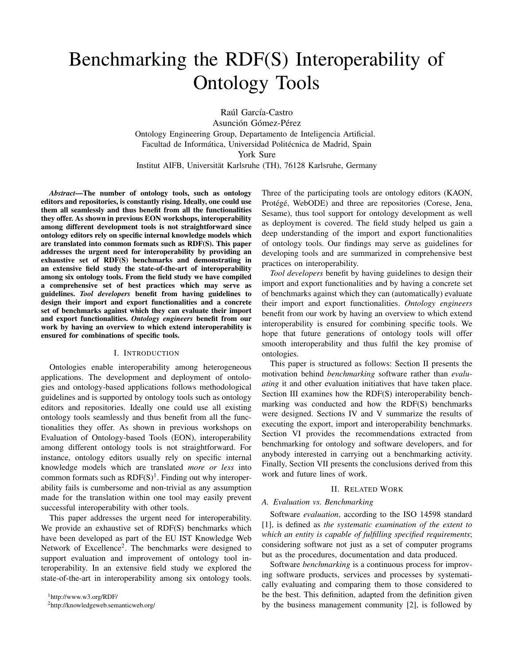# Benchmarking the RDF(S) Interoperability of Ontology Tools

Raúl García-Castro

Asunción Gómez-Pérez Ontology Engineering Group, Departamento de Inteligencia Artificial. Facultad de Informática, Universidad Politécnica de Madrid, Spain York Sure Institut AIFB, Universität Karlsruhe (TH), 76128 Karlsruhe, Germany

*Abstract***—The number of ontology tools, such as ontology editors and repositories, is constantly rising. Ideally, one could use them all seamlessly and thus benefit from all the functionalities they offer. As shown in previous EON workshops, interoperability among different development tools is not straightforward since ontology editors rely on specific internal knowledge models which are translated into common formats such as RDF(S). This paper addresses the urgent need for interoperability by providing an exhaustive set of RDF(S) benchmarks and demonstrating in an extensive field study the state-of-the-art of interoperability among six ontology tools. From the field study we have compiled a comprehensive set of best practices which may serve as guidelines.** *Tool developers* **benefit from having guidelines to design their import and export functionalities and a concrete set of benchmarks against which they can evaluate their import and export functionalities.** *Ontology engineers* **benefit from our work by having an overview to which extend interoperability is ensured for combinations of specific tools.**

# I. INTRODUCTION

Ontologies enable interoperability among heterogeneous applications. The development and deployment of ontologies and ontology-based applications follows methodological guidelines and is supported by ontology tools such as ontology editors and repositories. Ideally one could use all existing ontology tools seamlessly and thus benefit from all the functionalities they offer. As shown in previous workshops on Evaluation of Ontology-based Tools (EON), interoperability among different ontology tools is not straightforward. For instance, ontology editors usually rely on specific internal knowledge models which are translated *more or less* into common formats such as  $RDF(S)^{1}$ . Finding out why interoperability fails is cumbersome and non-trivial as any assumption made for the translation within one tool may easily prevent successful interoperability with other tools.

This paper addresses the urgent need for interoperability. We provide an exhaustive set of RDF(S) benchmarks which have been developed as part of the EU IST Knowledge Web Network of Excellence<sup>2</sup>. The benchmarks were designed to support evaluation and improvement of ontology tool interoperability. In an extensive field study we explored the state-of-the-art in interoperability among six ontology tools.

<sup>1</sup>http://www.w3.org/RDF/

<sup>2</sup>http://knowledgeweb.semanticweb.org/

Three of the participating tools are ontology editors (KAON, Protégé, WebODE) and three are repositories (Corese, Jena, Sesame), thus tool support for ontology development as well as deployment is covered. The field study helped us gain a deep understanding of the import and export functionalities of ontology tools. Our findings may serve as guidelines for developing tools and are summarized in comprehensive best practices on interoperability.

*Tool developers* benefit by having guidelines to design their import and export functionalities and by having a concrete set of benchmarks against which they can (automatically) evaluate their import and export functionalities. *Ontology engineers* benefit from our work by having an overview to which extend interoperability is ensured for combining specific tools. We hope that future generations of ontology tools will offer smooth interoperability and thus fulfil the key promise of ontologies.

This paper is structured as follows: Section II presents the motivation behind *benchmarking* software rather than *evaluating* it and other evaluation initiatives that have taken place. Section III examines how the RDF(S) interoperability benchmarking was conducted and how the RDF(S) benchmarks were designed. Sections IV and V summarize the results of executing the export, import and interoperability benchmarks. Section VI provides the recommendations extracted from benchmarking for ontology and software developers, and for anybody interested in carrying out a benchmarking activity. Finally, Section VII presents the conclusions derived from this work and future lines of work.

# II. RELATED WORK

# *A. Evaluation vs. Benchmarking*

Software *evaluation*, according to the ISO 14598 standard [1], is defined as *the systematic examination of the extent to which an entity is capable of fulfilling specified requirements*; considering software not just as a set of computer programs but as the procedures, documentation and data produced.

Software *benchmarking* is a continuous process for improving software products, services and processes by systematically evaluating and comparing them to those considered to be the best. This definition, adapted from the definition given by the business management community [2], is followed by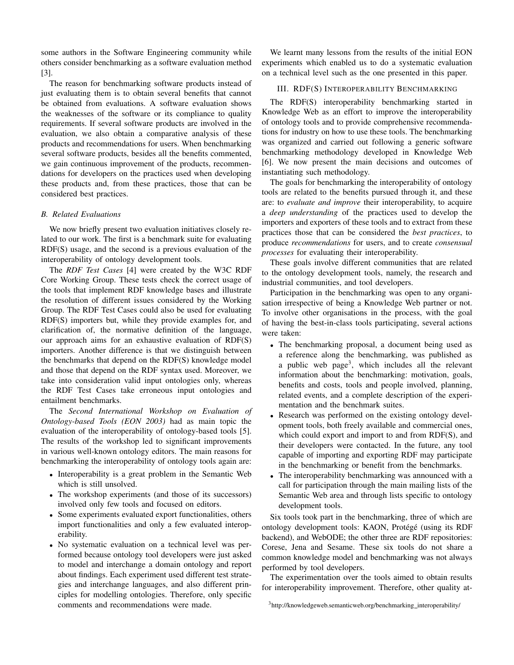some authors in the Software Engineering community while others consider benchmarking as a software evaluation method [3].

The reason for benchmarking software products instead of just evaluating them is to obtain several benefits that cannot be obtained from evaluations. A software evaluation shows the weaknesses of the software or its compliance to quality requirements. If several software products are involved in the evaluation, we also obtain a comparative analysis of these products and recommendations for users. When benchmarking several software products, besides all the benefits commented, we gain continuous improvement of the products, recommendations for developers on the practices used when developing these products and, from these practices, those that can be considered best practices.

## *B. Related Evaluations*

We now briefly present two evaluation initiatives closely related to our work. The first is a benchmark suite for evaluating RDF(S) usage, and the second is a previous evaluation of the interoperability of ontology development tools.

The *RDF Test Cases* [4] were created by the W3C RDF Core Working Group. These tests check the correct usage of the tools that implement RDF knowledge bases and illustrate the resolution of different issues considered by the Working Group. The RDF Test Cases could also be used for evaluating RDF(S) importers but, while they provide examples for, and clarification of, the normative definition of the language, our approach aims for an exhaustive evaluation of RDF(S) importers. Another difference is that we distinguish between the benchmarks that depend on the RDF(S) knowledge model and those that depend on the RDF syntax used. Moreover, we take into consideration valid input ontologies only, whereas the RDF Test Cases take erroneous input ontologies and entailment benchmarks.

The *Second International Workshop on Evaluation of Ontology-based Tools (EON 2003)* had as main topic the evaluation of the interoperability of ontology-based tools [5]. The results of the workshop led to significant improvements in various well-known ontology editors. The main reasons for benchmarking the interoperability of ontology tools again are:

- Interoperability is a great problem in the Semantic Web which is still unsolved.
- The workshop experiments (and those of its successors) involved only few tools and focused on editors.
- Some experiments evaluated export functionalities, others import functionalities and only a few evaluated interoperability.
- No systematic evaluation on a technical level was performed because ontology tool developers were just asked to model and interchange a domain ontology and report about findings. Each experiment used different test strategies and interchange languages, and also different principles for modelling ontologies. Therefore, only specific comments and recommendations were made.

We learnt many lessons from the results of the initial EON experiments which enabled us to do a systematic evaluation on a technical level such as the one presented in this paper.

# III. RDF(S) INTEROPERABILITY BENCHMARKING

The RDF(S) interoperability benchmarking started in Knowledge Web as an effort to improve the interoperability of ontology tools and to provide comprehensive recommendations for industry on how to use these tools. The benchmarking was organized and carried out following a generic software benchmarking methodology developed in Knowledge Web [6]. We now present the main decisions and outcomes of instantiating such methodology.

The goals for benchmarking the interoperability of ontology tools are related to the benefits pursued through it, and these are: to *evaluate and improve* their interoperability, to acquire a *deep understanding* of the practices used to develop the importers and exporters of these tools and to extract from these practices those that can be considered the *best practices*, to produce *recommendations* for users, and to create *consensual processes* for evaluating their interoperability.

These goals involve different communities that are related to the ontology development tools, namely, the research and industrial communities, and tool developers.

Participation in the benchmarking was open to any organisation irrespective of being a Knowledge Web partner or not. To involve other organisations in the process, with the goal of having the best-in-class tools participating, several actions were taken:

- The benchmarking proposal, a document being used as a reference along the benchmarking, was published as a public web page<sup>3</sup>, which includes all the relevant information about the benchmarking: motivation, goals, benefits and costs, tools and people involved, planning, related events, and a complete description of the experimentation and the benchmark suites.
- Research was performed on the existing ontology development tools, both freely available and commercial ones, which could export and import to and from RDF(S), and their developers were contacted. In the future, any tool capable of importing and exporting RDF may participate in the benchmarking or benefit from the benchmarks.
- The interoperability benchmarking was announced with a call for participation through the main mailing lists of the Semantic Web area and through lists specific to ontology development tools.

Six tools took part in the benchmarking, three of which are ontology development tools: KAON, Protégé (using its RDF backend), and WebODE; the other three are RDF repositories: Corese, Jena and Sesame. These six tools do not share a common knowledge model and benchmarking was not always performed by tool developers.

The experimentation over the tools aimed to obtain results for interoperability improvement. Therefore, other quality at-

<sup>&</sup>lt;sup>3</sup>http://knowledgeweb.semanticweb.org/benchmarking\_interoperability/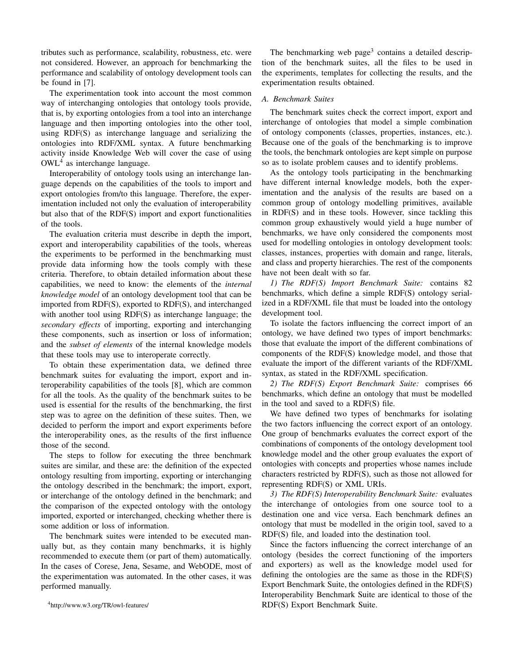tributes such as performance, scalability, robustness, etc. were not considered. However, an approach for benchmarking the performance and scalability of ontology development tools can be found in [7].

The experimentation took into account the most common way of interchanging ontologies that ontology tools provide, that is, by exporting ontologies from a tool into an interchange language and then importing ontologies into the other tool, using RDF(S) as interchange language and serializing the ontologies into RDF/XML syntax. A future benchmarking activity inside Knowledge Web will cover the case of using OWL<sup>4</sup> as interchange language.

Interoperability of ontology tools using an interchange language depends on the capabilities of the tools to import and export ontologies from/to this language. Therefore, the experimentation included not only the evaluation of interoperability but also that of the RDF(S) import and export functionalities of the tools.

The evaluation criteria must describe in depth the import, export and interoperability capabilities of the tools, whereas the experiments to be performed in the benchmarking must provide data informing how the tools comply with these criteria. Therefore, to obtain detailed information about these capabilities, we need to know: the elements of the *internal knowledge model* of an ontology development tool that can be imported from RDF(S), exported to RDF(S), and interchanged with another tool using RDF(S) as interchange language; the *secondary effects* of importing, exporting and interchanging these components, such as insertion or loss of information; and the *subset of elements* of the internal knowledge models that these tools may use to interoperate correctly.

To obtain these experimentation data, we defined three benchmark suites for evaluating the import, export and interoperability capabilities of the tools [8], which are common for all the tools. As the quality of the benchmark suites to be used is essential for the results of the benchmarking, the first step was to agree on the definition of these suites. Then, we decided to perform the import and export experiments before the interoperability ones, as the results of the first influence those of the second.

The steps to follow for executing the three benchmark suites are similar, and these are: the definition of the expected ontology resulting from importing, exporting or interchanging the ontology described in the benchmark; the import, export, or interchange of the ontology defined in the benchmark; and the comparison of the expected ontology with the ontology imported, exported or interchanged, checking whether there is some addition or loss of information.

The benchmark suites were intended to be executed manually but, as they contain many benchmarks, it is highly recommended to execute them (or part of them) automatically. In the cases of Corese, Jena, Sesame, and WebODE, most of the experimentation was automated. In the other cases, it was performed manually.

The benchmarking web page<sup>3</sup> contains a detailed description of the benchmark suites, all the files to be used in the experiments, templates for collecting the results, and the experimentation results obtained.

## *A. Benchmark Suites*

The benchmark suites check the correct import, export and interchange of ontologies that model a simple combination of ontology components (classes, properties, instances, etc.). Because one of the goals of the benchmarking is to improve the tools, the benchmark ontologies are kept simple on purpose so as to isolate problem causes and to identify problems.

As the ontology tools participating in the benchmarking have different internal knowledge models, both the experimentation and the analysis of the results are based on a common group of ontology modelling primitives, available in RDF(S) and in these tools. However, since tackling this common group exhaustively would yield a huge number of benchmarks, we have only considered the components most used for modelling ontologies in ontology development tools: classes, instances, properties with domain and range, literals, and class and property hierarchies. The rest of the components have not been dealt with so far.

*1) The RDF(S) Import Benchmark Suite:* contains 82 benchmarks, which define a simple RDF(S) ontology serialized in a RDF/XML file that must be loaded into the ontology development tool.

To isolate the factors influencing the correct import of an ontology, we have defined two types of import benchmarks: those that evaluate the import of the different combinations of components of the RDF(S) knowledge model, and those that evaluate the import of the different variants of the RDF/XML syntax, as stated in the RDF/XML specification.

*2) The RDF(S) Export Benchmark Suite:* comprises 66 benchmarks, which define an ontology that must be modelled in the tool and saved to a RDF(S) file.

We have defined two types of benchmarks for isolating the two factors influencing the correct export of an ontology. One group of benchmarks evaluates the correct export of the combinations of components of the ontology development tool knowledge model and the other group evaluates the export of ontologies with concepts and properties whose names include characters restricted by RDF(S), such as those not allowed for representing RDF(S) or XML URIs.

*3) The RDF(S) Interoperability Benchmark Suite:* evaluates the interchange of ontologies from one source tool to a destination one and vice versa. Each benchmark defines an ontology that must be modelled in the origin tool, saved to a RDF(S) file, and loaded into the destination tool.

Since the factors influencing the correct interchange of an ontology (besides the correct functioning of the importers and exporters) as well as the knowledge model used for defining the ontologies are the same as those in the RDF(S) Export Benchmark Suite, the ontologies defined in the RDF(S) Interoperability Benchmark Suite are identical to those of the RDF(S) Export Benchmark Suite.

<sup>4</sup>http://www.w3.org/TR/owl-features/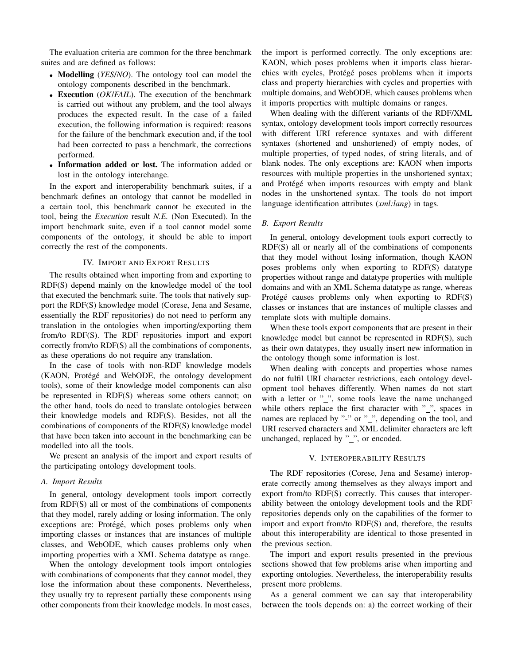The evaluation criteria are common for the three benchmark suites and are defined as follows:

- **Modelling** (*YES*/*NO*). The ontology tool can model the ontology components described in the benchmark.
- **Execution** (*OK*/*FAIL*). The execution of the benchmark is carried out without any problem, and the tool always produces the expected result. In the case of a failed execution, the following information is required: reasons for the failure of the benchmark execution and, if the tool had been corrected to pass a benchmark, the corrections performed.
- **Information added or lost.** The information added or lost in the ontology interchange.

In the export and interoperability benchmark suites, if a benchmark defines an ontology that cannot be modelled in a certain tool, this benchmark cannot be executed in the tool, being the *Execution* result *N.E.* (Non Executed). In the import benchmark suite, even if a tool cannot model some components of the ontology, it should be able to import correctly the rest of the components.

# IV. IMPORT AND EXPORT RESULTS

The results obtained when importing from and exporting to RDF(S) depend mainly on the knowledge model of the tool that executed the benchmark suite. The tools that natively support the RDF(S) knowledge model (Corese, Jena and Sesame, essentially the RDF repositories) do not need to perform any translation in the ontologies when importing/exporting them from/to RDF(S). The RDF repositories import and export correctly from/to RDF(S) all the combinations of components, as these operations do not require any translation.

In the case of tools with non-RDF knowledge models (KAON, Protégé and WebODE, the ontology development tools), some of their knowledge model components can also be represented in RDF(S) whereas some others cannot; on the other hand, tools do need to translate ontologies between their knowledge models and RDF(S). Besides, not all the combinations of components of the RDF(S) knowledge model that have been taken into account in the benchmarking can be modelled into all the tools.

We present an analysis of the import and export results of the participating ontology development tools.

# *A. Import Results*

In general, ontology development tools import correctly from RDF(S) all or most of the combinations of components that they model, rarely adding or losing information. The only exceptions are: Protégé, which poses problems only when importing classes or instances that are instances of multiple classes, and WebODE, which causes problems only when importing properties with a XML Schema datatype as range.

When the ontology development tools import ontologies with combinations of components that they cannot model, they lose the information about these components. Nevertheless, they usually try to represent partially these components using other components from their knowledge models. In most cases, the import is performed correctly. The only exceptions are: KAON, which poses problems when it imports class hierarchies with cycles, Protégé poses problems when it imports class and property hierarchies with cycles and properties with multiple domains, and WebODE, which causes problems when it imports properties with multiple domains or ranges.

When dealing with the different variants of the RDF/XML syntax, ontology development tools import correctly resources with different URI reference syntaxes and with different syntaxes (shortened and unshortened) of empty nodes, of multiple properties, of typed nodes, of string literals, and of blank nodes. The only exceptions are: KAON when imports resources with multiple properties in the unshortened syntax; and Protégé when imports resources with empty and blank nodes in the unshortened syntax. The tools do not import language identification attributes (*xml:lang*) in tags.

#### *B. Export Results*

In general, ontology development tools export correctly to RDF(S) all or nearly all of the combinations of components that they model without losing information, though KAON poses problems only when exporting to RDF(S) datatype properties without range and datatype properties with multiple domains and with an XML Schema datatype as range, whereas Protégé causes problems only when exporting to  $RDF(S)$ classes or instances that are instances of multiple classes and template slots with multiple domains.

When these tools export components that are present in their knowledge model but cannot be represented in RDF(S), such as their own datatypes, they usually insert new information in the ontology though some information is lost.

When dealing with concepts and properties whose names do not fulfil URI character restrictions, each ontology development tool behaves differently. When names do not start with a letter or " $\ldots$ ", some tools leave the name unchanged while others replace the first character with  $"$ , spaces in names are replaced by "-" or "\_", depending on the tool, and URI reserved characters and XML delimiter characters are left unchanged, replaced by "\_", or encoded.

# V. INTEROPERABILITY RESULTS

The RDF repositories (Corese, Jena and Sesame) interoperate correctly among themselves as they always import and export from/to RDF(S) correctly. This causes that interoperability between the ontology development tools and the RDF repositories depends only on the capabilities of the former to import and export from/to RDF(S) and, therefore, the results about this interoperability are identical to those presented in the previous section.

The import and export results presented in the previous sections showed that few problems arise when importing and exporting ontologies. Nevertheless, the interoperability results present more problems.

As a general comment we can say that interoperability between the tools depends on: a) the correct working of their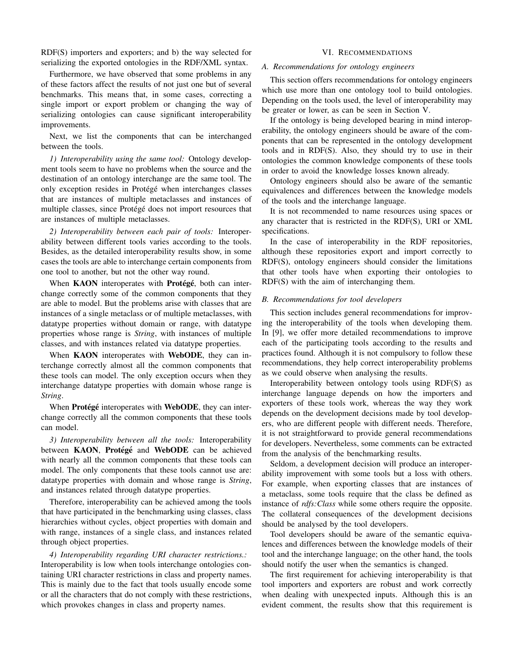RDF(S) importers and exporters; and b) the way selected for serializing the exported ontologies in the RDF/XML syntax.

Furthermore, we have observed that some problems in any of these factors affect the results of not just one but of several benchmarks. This means that, in some cases, correcting a single import or export problem or changing the way of serializing ontologies can cause significant interoperability improvements.

Next, we list the components that can be interchanged between the tools.

*1) Interoperability using the same tool:* Ontology development tools seem to have no problems when the source and the destination of an ontology interchange are the same tool. The only exception resides in Protégé when interchanges classes that are instances of multiple metaclasses and instances of multiple classes, since Protégé does not import resources that are instances of multiple metaclasses.

*2) Interoperability between each pair of tools:* Interoperability between different tools varies according to the tools. Besides, as the detailed interoperability results show, in some cases the tools are able to interchange certain components from one tool to another, but not the other way round.

When **KAON** interoperates with **Protégé**, both can interchange correctly some of the common components that they are able to model. But the problems arise with classes that are instances of a single metaclass or of multiple metaclasses, with datatype properties without domain or range, with datatype properties whose range is *String*, with instances of multiple classes, and with instances related via datatype properties.

When **KAON** interoperates with **WebODE**, they can interchange correctly almost all the common components that these tools can model. The only exception occurs when they interchange datatype properties with domain whose range is *String*.

When **Protégé** interoperates with **WebODE**, they can interchange correctly all the common components that these tools can model.

*3) Interoperability between all the tools:* Interoperability between **KAON**, Protégé and WebODE can be achieved with nearly all the common components that these tools can model. The only components that these tools cannot use are: datatype properties with domain and whose range is *String*, and instances related through datatype properties.

Therefore, interoperability can be achieved among the tools that have participated in the benchmarking using classes, class hierarchies without cycles, object properties with domain and with range, instances of a single class, and instances related through object properties.

*4) Interoperability regarding URI character restrictions.:* Interoperability is low when tools interchange ontologies containing URI character restrictions in class and property names. This is mainly due to the fact that tools usually encode some or all the characters that do not comply with these restrictions, which provokes changes in class and property names.

## VI. RECOMMENDATIONS

# *A. Recommendations for ontology engineers*

This section offers recommendations for ontology engineers which use more than one ontology tool to build ontologies. Depending on the tools used, the level of interoperability may be greater or lower, as can be seen in Section V.

If the ontology is being developed bearing in mind interoperability, the ontology engineers should be aware of the components that can be represented in the ontology development tools and in RDF(S). Also, they should try to use in their ontologies the common knowledge components of these tools in order to avoid the knowledge losses known already.

Ontology engineers should also be aware of the semantic equivalences and differences between the knowledge models of the tools and the interchange language.

It is not recommended to name resources using spaces or any character that is restricted in the RDF(S), URI or XML specifications.

In the case of interoperability in the RDF repositories, although these repositories export and import correctly to RDF(S), ontology engineers should consider the limitations that other tools have when exporting their ontologies to RDF(S) with the aim of interchanging them.

# *B. Recommendations for tool developers*

This section includes general recommendations for improving the interoperability of the tools when developing them. In [9], we offer more detailed recommendations to improve each of the participating tools according to the results and practices found. Although it is not compulsory to follow these recommendations, they help correct interoperability problems as we could observe when analysing the results.

Interoperability between ontology tools using RDF(S) as interchange language depends on how the importers and exporters of these tools work, whereas the way they work depends on the development decisions made by tool developers, who are different people with different needs. Therefore, it is not straightforward to provide general recommendations for developers. Nevertheless, some comments can be extracted from the analysis of the benchmarking results.

Seldom, a development decision will produce an interoperability improvement with some tools but a loss with others. For example, when exporting classes that are instances of a metaclass, some tools require that the class be defined as instance of *rdfs:Class* while some others require the opposite. The collateral consequences of the development decisions should be analysed by the tool developers.

Tool developers should be aware of the semantic equivalences and differences between the knowledge models of their tool and the interchange language; on the other hand, the tools should notify the user when the semantics is changed.

The first requirement for achieving interoperability is that tool importers and exporters are robust and work correctly when dealing with unexpected inputs. Although this is an evident comment, the results show that this requirement is